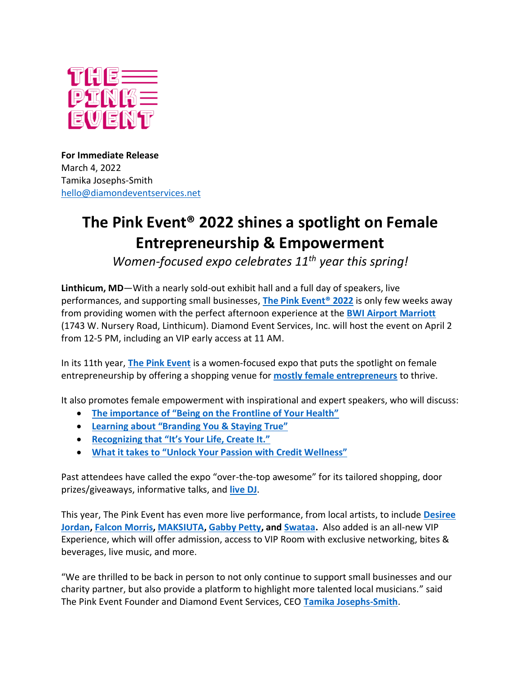

**For Immediate Release** March 4, 2022 Tamika Josephs-Smith [hello@diamondeventservices.net](mailto:hello@diamondeventservices.net)

## **The Pink Event® 2022 shines a spotlight on Female Entrepreneurship & Empowerment**

*Women-focused expo celebrates 11th year this spring!*

**Linthicum, MD**—With a nearly sold-out exhibit hall and a full day of speakers, live performances, and supporting small businesses, **[The Pink Event® 2022](https://www.thepinkevent.net/)** is only few weeks away from providing women with the perfect afternoon experience at the **[BWI Airport Marriott](https://www.marriott.com/en-us/hotels/bwiap-bwi-airport-marriott/overview/)** (1743 W. Nursery Road, Linthicum). Diamond Event Services, Inc. will host the event on April 2 from 12-5 PM, including an VIP early access at 11 AM.

In its 11th year, **[The Pink Event](https://www.thepinkevent.net/)** is a women-focused expo that puts the spotlight on female entrepreneurship by offering a shopping venue for **[mostly female entrepreneurs](https://www.thepinkevent.net/exhibitors)** to thrive.

It also promotes female empowerment with inspirational and expert speakers, who will discuss:

- **[The importance of "Being on the Frontline of Your Health"](https://www.thepinkevent.net/speakers.html#ruthredmond)**
- **[Learning about "Branding You & Staying True"](https://www.thepinkevent.net/speakers.html#sarahbethramsey)**
- **[Recognizing that "It's Your Life, Create It."](https://www.thepinkevent.net/speakers.html#sarahbethramsey)**
- **What it takes to "[Unlock Your Passion with Credit Wel](https://www.thepinkevent.net/speakers.html#chanayrobinson)lness"**

Past attendees have called the expo "over-the-top awesome" for its tailored shopping, door prizes/giveaways, informative talks, and **[live DJ](https://www.thepinkevent.net/entertainment.html#djcandygirl)**.

This year, The Pink Event has even more live performance, from local artists, to include **[Desiree](https://www.thepinkevent.net/entertainment.html#desireejordan)  [Jordan,](https://www.thepinkevent.net/entertainment.html#desireejordan) [Falcon Morris,](https://www.thepinkevent.net/entertainment.html#falconmorris) [MAKSIUTA,](https://www.thepinkevent.net/entertainment.html#maksiuta) [Gabby Petty,](https://www.thepinkevent.net/entertainment.html#gabbypetty) and [Swataa.](https://www.thepinkevent.net/entertainment.html#swataa)** Also added is an all-new VIP Experience, which will offer admission, access to VIP Room with exclusive networking, bites & beverages, live music, and more.

"We are thrilled to be back in person to not only continue to support small businesses and our charity partner, but also provide a platform to highlight more talented local musicians." said The Pink Event Founder and Diamond Event Services, CEO **[Tamika Josephs-Smith](https://www.thepinkevent.net/founder)**.